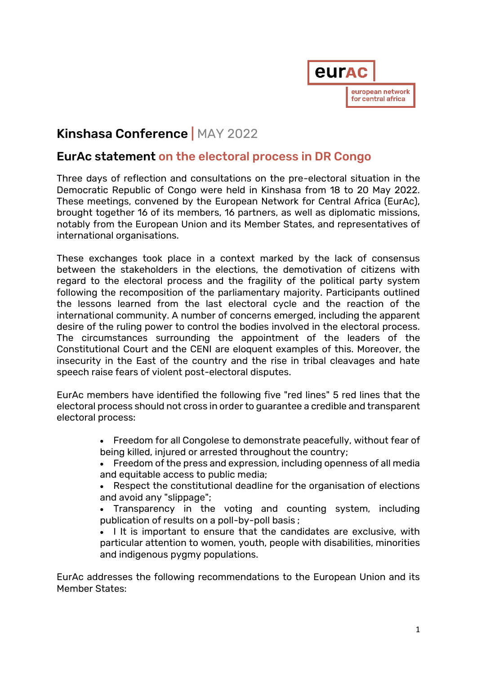

## Kinshasa Conference | MAY 2022

## EurAc statement on the electoral process in DR Congo

Three days of reflection and consultations on the pre-electoral situation in the Democratic Republic of Congo were held in Kinshasa from 18 to 20 May 2022. These meetings, convened by the European Network for Central Africa (EurAc), brought together 16 of its members, 16 partners, as well as diplomatic missions, notably from the European Union and its Member States, and representatives of international organisations.

These exchanges took place in a context marked by the lack of consensus between the stakeholders in the elections, the demotivation of citizens with regard to the electoral process and the fragility of the political party system following the recomposition of the parliamentary majority. Participants outlined the lessons learned from the last electoral cycle and the reaction of the international community. A number of concerns emerged, including the apparent desire of the ruling power to control the bodies involved in the electoral process. The circumstances surrounding the appointment of the leaders of the Constitutional Court and the CENI are eloquent examples of this. Moreover, the insecurity in the East of the country and the rise in tribal cleavages and hate speech raise fears of violent post-electoral disputes.

EurAc members have identified the following five "red lines" 5 red lines that the electoral process should not cross in order to guarantee a credible and transparent electoral process:

- Freedom for all Congolese to demonstrate peacefully, without fear of being killed, injured or arrested throughout the country;
- Freedom of the press and expression, including openness of all media and equitable access to public media;
- Respect the constitutional deadline for the organisation of elections and avoid any "slippage";

• Transparency in the voting and counting system, including publication of results on a poll-by-poll basis ;

• I It is important to ensure that the candidates are exclusive, with particular attention to women, youth, people with disabilities, minorities and indigenous pygmy populations.

EurAc addresses the following recommendations to the European Union and its Member States: